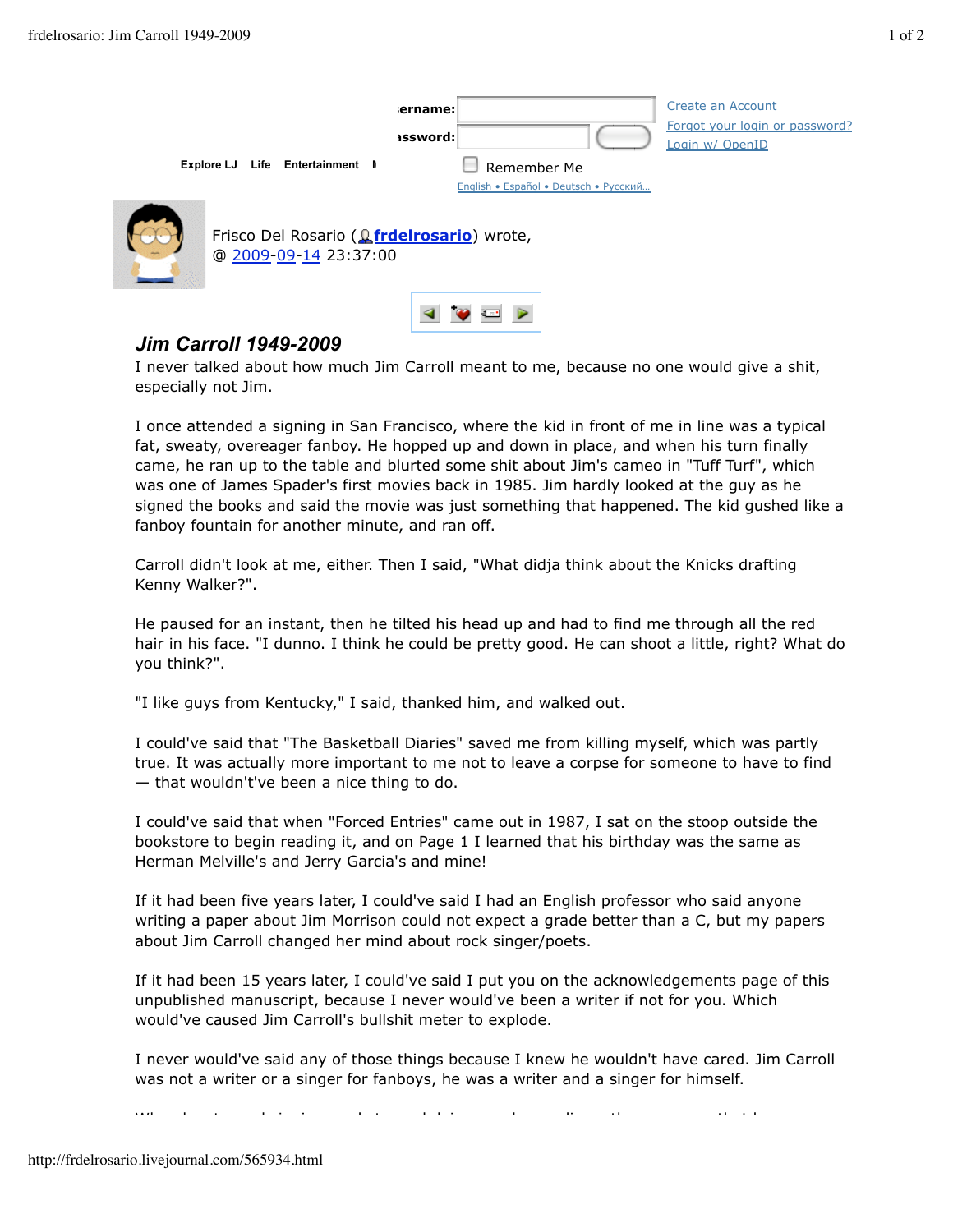|                                 | ername:<br><b>issword:</b>                                                   |                                                      | Create an Account<br>Forgot your login or password?<br>Login w/ OpenID |  |  |  |
|---------------------------------|------------------------------------------------------------------------------|------------------------------------------------------|------------------------------------------------------------------------|--|--|--|
| Explore LJ Life Entertainment N |                                                                              | Remember Me<br>English • Español • Deutsch • Русский |                                                                        |  |  |  |
|                                 | Frisco Del Rosario ( <i>Le</i> frdelrosario) wrote,<br>@ 2009-09-14 23:37:00 |                                                      |                                                                        |  |  |  |

## *Jim Carroll 1949-2009*

I never talked about how much Jim Carroll meant to me, because no one would give a shit, especially not Jim.

◀♥□▶

I once attended a signing in San Francisco, where the kid in front of me in line was a typical fat, sweaty, overeager fanboy. He hopped up and down in place, and when his turn finally came, he ran up to the table and blurted some shit about Jim's cameo in "Tuff Turf", which was one of James Spader's first movies back in 1985. Jim hardly looked at the guy as he signed the books and said the movie was just something that happened. The kid gushed like a fanboy fountain for another minute, and ran off.

Carroll didn't look at me, either. Then I said, "What didja think about the Knicks drafting Kenny Walker?".

He paused for an instant, then he tilted his head up and had to find me through all the red hair in his face. "I dunno. I think he could be pretty good. He can shoot a little, right? What do you think?".

"I like guys from Kentucky," I said, thanked him, and walked out.

I could've said that "The Basketball Diaries" saved me from killing myself, which was partly true. It was actually more important to me not to leave a corpse for someone to have to find — that wouldn't've been a nice thing to do.

I could've said that when "Forced Entries" came out in 1987, I sat on the stoop outside the bookstore to begin reading it, and on Page 1 I learned that his birthday was the same as Herman Melville's and Jerry Garcia's and mine!

If it had been five years later, I could've said I had an English professor who said anyone writing a paper about Jim Morrison could not expect a grade better than a C, but my papers about Jim Carroll changed her mind about rock singer/poets.

If it had been 15 years later, I could've said I put you on the acknowledgements page of this unpublished manuscript, because I never would've been a writer if not for you. Which would've caused Jim Carroll's bullshit meter to explode.

I never would've said any of those things because I knew he wouldn't have cared. Jim Carroll was not a writer or a singer for fanboys, he was a writer and a singer for himself.

When he stopped singing, and stopped doing regular readings, the news was that he was